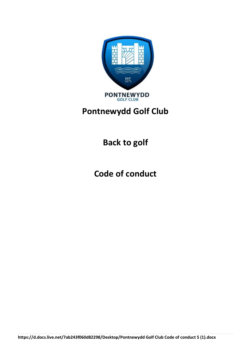

# **Pontnewydd Golf Club**

**Back to golf**

**Code of conduct**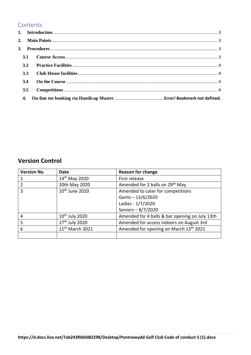#### **Contents**

| 3.2 |  |  |  |  |  |
|-----|--|--|--|--|--|
| 3.3 |  |  |  |  |  |
| 3.4 |  |  |  |  |  |
| 3.5 |  |  |  |  |  |
| 4.  |  |  |  |  |  |

### **Version Control**

| <b>Version No</b> | Date                        | <b>Reason for change</b>                       |
|-------------------|-----------------------------|------------------------------------------------|
|                   | 14 <sup>th</sup> May 2020   | First release                                  |
|                   | 20th May 2020               | Amended for 2 balls on 29 <sup>th</sup> May    |
| 3                 | 10 <sup>th</sup> June 2020  | Amended to cater for competitions              |
|                   |                             | Gents-13/6/2020                                |
|                   |                             | Ladies - 1/7/2020                              |
|                   |                             | Seniors-8/7/2020                               |
| 4                 | $10th$ July 2020            | Amended for 4 balls & bar opening on July 13th |
| 5                 | 27 <sup>th</sup> July 2020  | Amended for access indoors on August 3rd       |
| 6                 | 11 <sup>th</sup> March 2021 | Amended for opening on March 13th 2021         |
|                   |                             |                                                |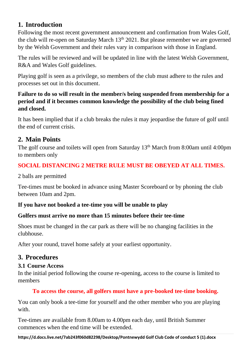# <span id="page-2-0"></span>**1. Introduction**

Following the most recent government announcement and confirmation from Wales Golf, the club will re-open on Saturday March  $13<sup>th</sup> 2021$ . But please remember we are governed by the Welsh Government and their rules vary in comparison with those in England.

The rules will be reviewed and will be updated in line with the latest Welsh Government, R&A and Wales Golf guidelines.

Playing golf is seen as a privilege, so members of the club must adhere to the rules and processes set out in this document.

### **Failure to do so will result in the member/s being suspended from membership for a period and if it becomes common knowledge the possibility of the club being fined and closed.**

It has been implied that if a club breaks the rules it may jeopardise the future of golf until the end of current crisis.

# <span id="page-2-1"></span>**2. Main Points**

The golf course and toilets will open from Saturday 13<sup>th</sup> March from 8:00am until 4:00pm to members only

### **SOCIAL DISTANCING 2 METRE RULE MUST BE OBEYED AT ALL TIMES.**

2 balls are permitted

Tee-times must be booked in advance using Master Scoreboard or by phoning the club between 10am and 2pm.

### **If you have not booked a tee-time you will be unable to play**

### **Golfers must arrive no more than 15 minutes before their tee-time**

Shoes must be changed in the car park as there will be no changing facilities in the clubhouse.

After your round, travel home safely at your earliest opportunity.

# <span id="page-2-2"></span>**3. Procedures**

### <span id="page-2-3"></span>**3.1 Course Access**

In the initial period following the course re-opening, access to the course is limited to members

### **To access the course, all golfers must have a pre-booked tee-time booking.**

You can only book a tee-time for yourself and the other member who you are playing with.

Tee-times are available from 8.00am to 4.00pm each day, until British Summer commences when the end time will be extended.